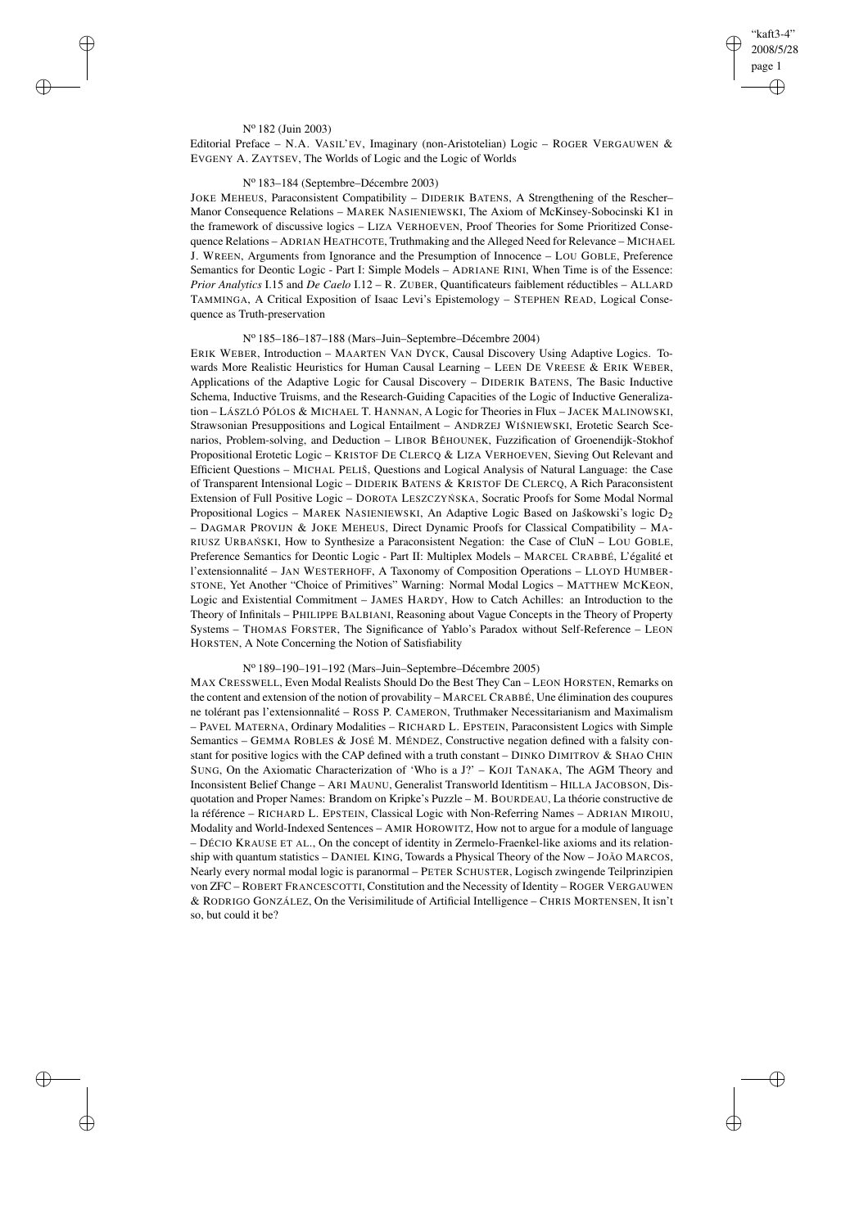✐

✐

## N<sup>o</sup> 182 (Juin 2003)

 $\rightarrow$ 

 $\rightarrow$ 

✐

✐

Editorial Preface – N.A. VASIL'EV, Imaginary (non-Aristotelian) Logic – ROGER VERGAUWEN & EVGENY A. ZAYTSEV, The Worlds of Logic and the Logic of Worlds

# N<sup>o</sup> 183–184 (Septembre–Décembre 2003)

JOKE MEHEUS, Paraconsistent Compatibility – DIDERIK BATENS, A Strengthening of the Rescher– Manor Consequence Relations – MAREK NASIENIEWSKI, The Axiom of McKinsey-Sobocinski K1 in the framework of discussive logics – LIZA VERHOEVEN, Proof Theories for Some Prioritized Consequence Relations – ADRIAN HEATHCOTE, Truthmaking and the Alleged Need for Relevance – MICHAEL J. WREEN, Arguments from Ignorance and the Presumption of Innocence – LOU GOBLE, Preference Semantics for Deontic Logic - Part I: Simple Models – ADRIANE RINI, When Time is of the Essence: *Prior Analytics* I.15 and *De Caelo* I.12 – R. ZUBER, Quantificateurs faiblement réductibles – ALLARD TAMMINGA, A Critical Exposition of Isaac Levi's Epistemology – STEPHEN READ, Logical Consequence as Truth-preservation

## N<sup>o</sup> 185–186–187–188 (Mars–Juin–Septembre–Décembre 2004)

ERIK WEBER, Introduction – MAARTEN VAN DYCK, Causal Discovery Using Adaptive Logics. Towards More Realistic Heuristics for Human Causal Learning - LEEN DE VREESE & ERIK WEBER, Applications of the Adaptive Logic for Causal Discovery – DIDERIK BATENS, The Basic Inductive Schema, Inductive Truisms, and the Research-Guiding Capacities of the Logic of Inductive Generalization – LÁSZLÓ PÓLOS & MICHAEL T. HANNAN, A Logic for Theories in Flux – JACEK MALINOWSKI, Strawsonian Presuppositions and Logical Entailment - ANDRZEJ WIŚNIEWSKI, Erotetic Search Scenarios, Problem-solving, and Deduction – LIBOR BĚHOUNEK, Fuzzification of Groenendijk-Stokhof Propositional Erotetic Logic – KRISTOF DE CLERCQ & LIZA VERHOEVEN, Sieving Out Relevant and Efficient Questions – MICHAL PELIŠ, Questions and Logical Analysis of Natural Language: the Case of Transparent Intensional Logic – DIDERIK BATENS & KRISTOF DE CLERCQ, A Rich Paraconsistent Extension of Full Positive Logic - DOROTA LESZCZYŃ SKA, Socratic Proofs for Some Modal Normal Propositional Logics – MAREK NASIENIEWSKI, An Adaptive Logic Based on Jaskowski's logic D<sub>2</sub> – DAGMAR PROVIJN & JOKE MEHEUS, Direct Dynamic Proofs for Classical Compatibility – MA-RIUSZ URBAŃ SKI, How to Synthesize a Paraconsistent Negation: the Case of CluN – LOU GOBLE, Preference Semantics for Deontic Logic - Part II: Multiplex Models – MARCEL CRABBÉ, L'égalité et l'extensionnalité – JAN WESTERHOFF, A Taxonomy of Composition Operations – LLOYD HUMBER-STONE, Yet Another "Choice of Primitives" Warning: Normal Modal Logics – MATTHEW MCKEON, Logic and Existential Commitment – JAMES HARDY, How to Catch Achilles: an Introduction to the Theory of Infinitals – PHILIPPE BALBIANI, Reasoning about Vague Concepts in the Theory of Property Systems – THOMAS FORSTER, The Significance of Yablo's Paradox without Self-Reference – LEON HORSTEN, A Note Concerning the Notion of Satisfiability

# N<sup>o</sup> 189–190–191–192 (Mars–Juin–Septembre–Décembre 2005)

MAX CRESSWELL, Even Modal Realists Should Do the Best They Can – LEON HORSTEN, Remarks on the content and extension of the notion of provability – MARCEL CRABBÉ, Une élimination des coupures ne tolérant pas l'extensionnalité – ROSS P. CAMERON, Truthmaker Necessitarianism and Maximalism – PAVEL MATERNA, Ordinary Modalities – RICHARD L. EPSTEIN, Paraconsistent Logics with Simple Semantics – GEMMA ROBLES & JOSÉ M. MÉNDEZ, Constructive negation defined with a falsity constant for positive logics with the CAP defined with a truth constant - DINKO DIMITROV & SHAO CHIN SUNG, On the Axiomatic Characterization of 'Who is a J?' – KOJI TANAKA, The AGM Theory and Inconsistent Belief Change – ARI MAUNU, Generalist Transworld Identitism – HILLA JACOBSON, Disquotation and Proper Names: Brandom on Kripke's Puzzle – M. BOURDEAU, La théorie constructive de la référence – RICHARD L. EPSTEIN, Classical Logic with Non-Referring Names – ADRIAN MIROIU, Modality and World-Indexed Sentences – AMIR HOROWITZ, How not to argue for a module of language – DÉCIO KRAUSE ET AL., On the concept of identity in Zermelo-Fraenkel-like axioms and its relationship with quantum statistics – DANIEL KING, Towards a Physical Theory of the Now – JOÃO MARCOS, Nearly every normal modal logic is paranormal – PETER SCHUSTER, Logisch zwingende Teilprinzipien von ZFC – ROBERT FRANCESCOTTI, Constitution and the Necessity of Identity – ROGER VERGAUWEN & RODRIGO GONZÁLEZ, On the Verisimilitude of Artificial Intelligence – CHRIS MORTENSEN, It isn't so, but could it be?